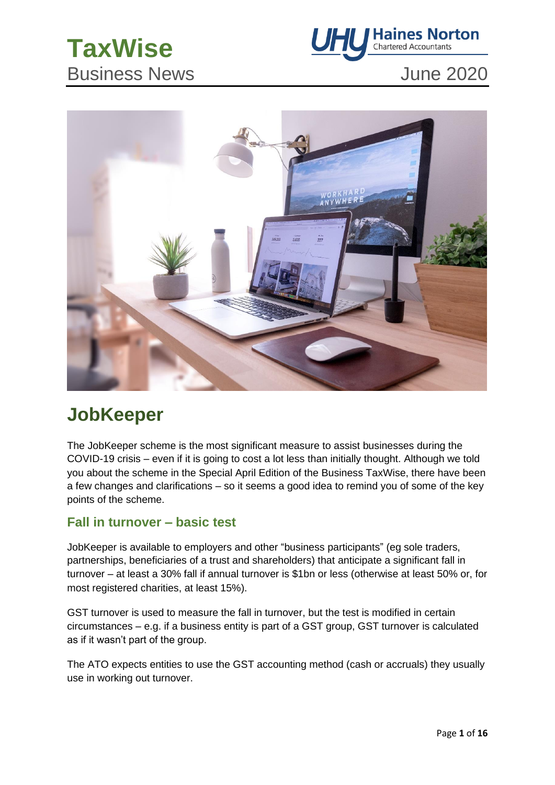# **TaxWise** Business News **June 2020**





# **JobKeeper**

The JobKeeper scheme is the most significant measure to assist businesses during the COVID-19 crisis – even if it is going to cost a lot less than initially thought. Although we told you about the scheme in the Special April Edition of the Business TaxWise, there have been a few changes and clarifications – so it seems a good idea to remind you of some of the key points of the scheme.

#### **Fall in turnover – basic test**

JobKeeper is available to employers and other "business participants" (eg sole traders, partnerships, beneficiaries of a trust and shareholders) that anticipate a significant fall in turnover – at least a 30% fall if annual turnover is \$1bn or less (otherwise at least 50% or, for most registered charities, at least 15%).

GST turnover is used to measure the fall in turnover, but the test is modified in certain circumstances – e.g. if a business entity is part of a GST group, GST turnover is calculated as if it wasn't part of the group.

The ATO expects entities to use the GST accounting method (cash or accruals) they usually use in working out turnover.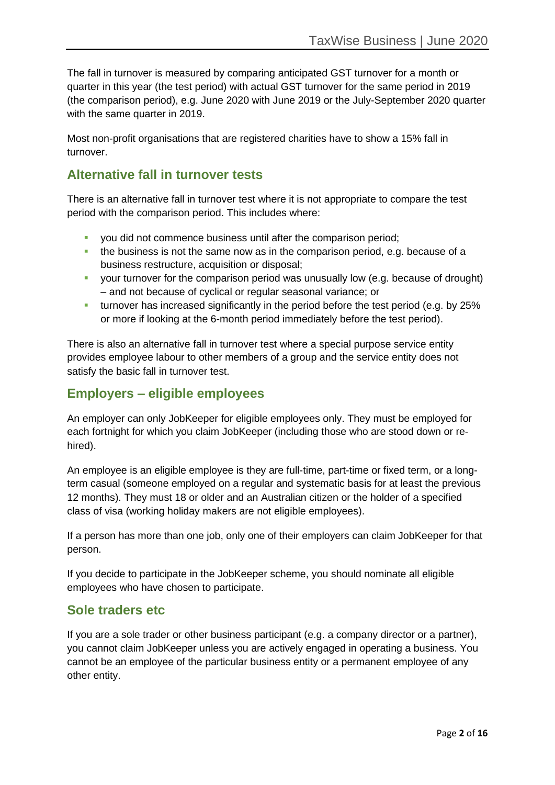The fall in turnover is measured by comparing anticipated GST turnover for a month or quarter in this year (the test period) with actual GST turnover for the same period in 2019 (the comparison period), e.g. June 2020 with June 2019 or the July-September 2020 quarter with the same quarter in 2019.

Most non-profit organisations that are registered charities have to show a 15% fall in turnover.

### **Alternative fall in turnover tests**

There is an alternative fall in turnover test where it is not appropriate to compare the test period with the comparison period. This includes where:

- **you did not commence business until after the comparison period;**
- **•** the business is not the same now as in the comparison period, e.g. because of a business restructure, acquisition or disposal;
- your turnover for the comparison period was unusually low (e.g. because of drought) – and not because of cyclical or regular seasonal variance; or
- **•** turnover has increased significantly in the period before the test period (e.g. by 25%) or more if looking at the 6-month period immediately before the test period).

There is also an alternative fall in turnover test where a special purpose service entity provides employee labour to other members of a group and the service entity does not satisfy the basic fall in turnover test.

### **Employers – eligible employees**

An employer can only JobKeeper for eligible employees only. They must be employed for each fortnight for which you claim JobKeeper (including those who are stood down or rehired).

An employee is an eligible employee is they are full-time, part-time or fixed term, or a longterm casual (someone employed on a regular and systematic basis for at least the previous 12 months). They must 18 or older and an Australian citizen or the holder of a specified class of visa (working holiday makers are not eligible employees).

If a person has more than one job, only one of their employers can claim JobKeeper for that person.

If you decide to participate in the JobKeeper scheme, you should nominate all eligible employees who have chosen to participate.

### **Sole traders etc**

If you are a sole trader or other business participant (e.g. a company director or a partner), you cannot claim JobKeeper unless you are actively engaged in operating a business. You cannot be an employee of the particular business entity or a permanent employee of any other entity.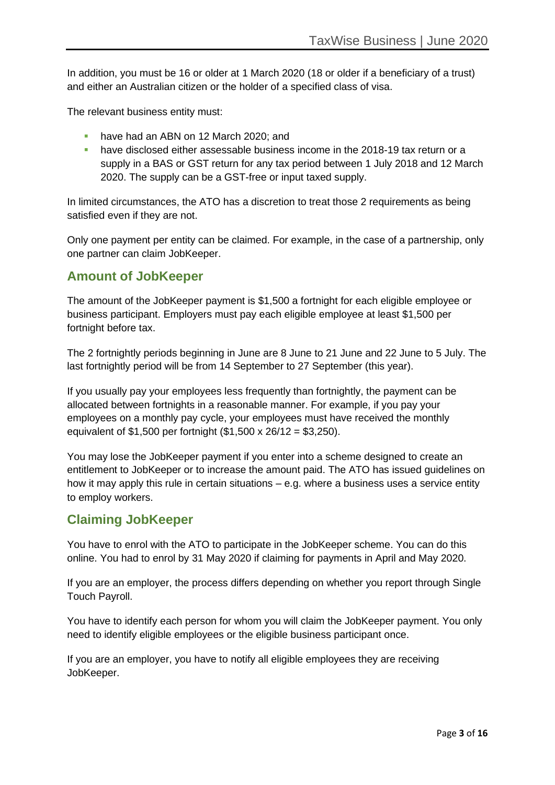In addition, you must be 16 or older at 1 March 2020 (18 or older if a beneficiary of a trust) and either an Australian citizen or the holder of a specified class of visa.

The relevant business entity must:

- **have had an ABN on 12 March 2020; and**
- have disclosed either assessable business income in the 2018-19 tax return or a supply in a BAS or GST return for any tax period between 1 July 2018 and 12 March 2020. The supply can be a GST-free or input taxed supply.

In limited circumstances, the ATO has a discretion to treat those 2 requirements as being satisfied even if they are not.

Only one payment per entity can be claimed. For example, in the case of a partnership, only one partner can claim JobKeeper.

#### **Amount of JobKeeper**

The amount of the JobKeeper payment is \$1,500 a fortnight for each eligible employee or business participant. Employers must pay each eligible employee at least \$1,500 per fortnight before tax.

The 2 fortnightly periods beginning in June are 8 June to 21 June and 22 June to 5 July. The last fortnightly period will be from 14 September to 27 September (this year).

If you usually pay your employees less frequently than fortnightly, the payment can be allocated between fortnights in a reasonable manner. For example, if you pay your employees on a monthly pay cycle, your employees must have received the monthly equivalent of \$1,500 per fortnight (\$1,500 x 26/12 = \$3,250).

You may lose the JobKeeper payment if you enter into a scheme designed to create an entitlement to JobKeeper or to increase the amount paid. The ATO has issued guidelines on how it may apply this rule in certain situations – e.g. where a business uses a service entity to employ workers.

#### **Claiming JobKeeper**

You have to enrol with the ATO to participate in the JobKeeper scheme. You can do this online. You had to enrol by 31 May 2020 if claiming for payments in April and May 2020.

If you are an employer, the process differs depending on whether you report through Single Touch Payroll.

You have to identify each person for whom you will claim the JobKeeper payment. You only need to identify eligible employees or the eligible business participant once.

If you are an employer, you have to notify all eligible employees they are receiving JobKeeper.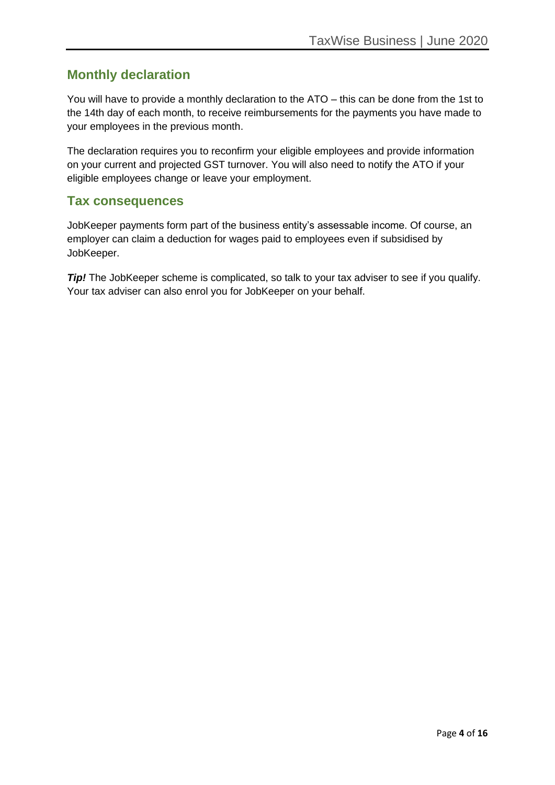#### **Monthly declaration**

You will have to provide a monthly declaration to the ATO – this can be done from the 1st to the 14th day of each month, to receive reimbursements for the payments you have made to your employees in the previous month.

The declaration requires you to reconfirm your eligible employees and provide information on your current and projected GST turnover. You will also need to notify the ATO if your eligible employees change or leave your employment.

#### **Tax consequences**

JobKeeper payments form part of the business entity's assessable income. Of course, an employer can claim a deduction for wages paid to employees even if subsidised by JobKeeper.

**Tip!** The JobKeeper scheme is complicated, so talk to your tax adviser to see if you qualify. Your tax adviser can also enrol you for JobKeeper on your behalf.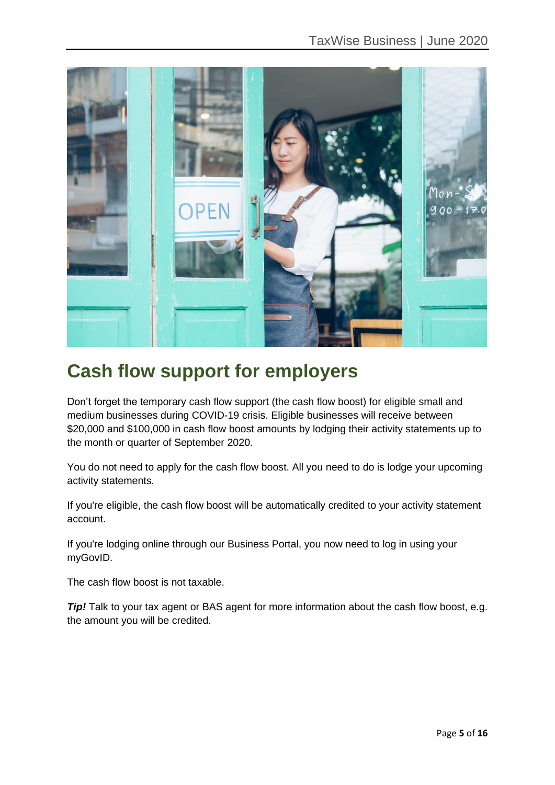

# **Cash flow support for employers**

Don't forget the temporary cash flow support (the cash flow boost) for eligible small and medium businesses during COVID-19 crisis. Eligible businesses will receive between \$20,000 and \$100,000 in cash flow boost amounts by lodging their activity statements up to the month or quarter of September 2020.

You do not need to apply for the cash flow boost. All you need to do is lodge your upcoming activity statements.

If you're eligible, the cash flow boost will be automatically credited to your activity statement account.

If you're lodging online through our Business Portal, you now need to log in using your myGovID.

The cash flow boost is not taxable.

**Tip!** Talk to your tax agent or BAS agent for more information about the cash flow boost, e.g. the amount you will be credited.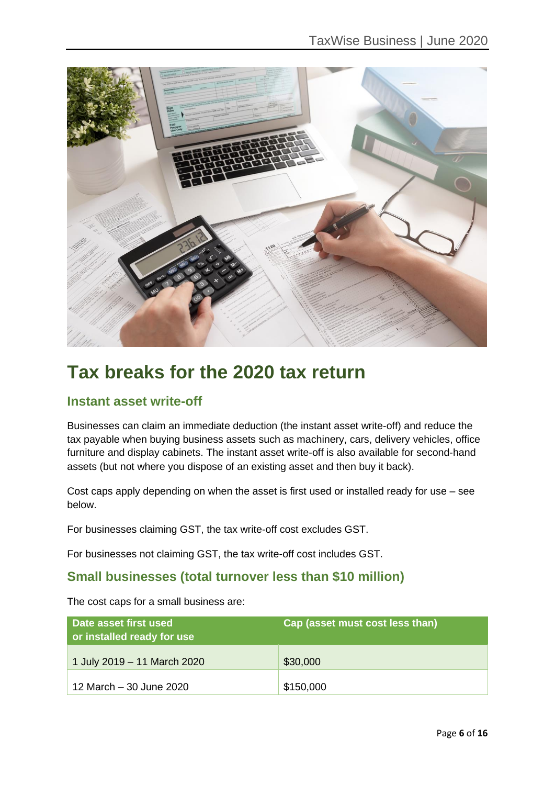

# **Tax breaks for the 2020 tax return**

### **Instant asset write-off**

Businesses can claim an immediate deduction (the instant asset write-off) and reduce the tax payable when buying business assets such as machinery, cars, delivery vehicles, office furniture and display cabinets. The instant asset write-off is also available for second-hand assets (but not where you dispose of an existing asset and then buy it back).

Cost caps apply depending on when the asset is first used or installed ready for use – see below.

For businesses claiming GST, the tax write-off cost excludes GST.

For businesses not claiming GST, the tax write-off cost includes GST.

### **Small businesses (total turnover less than \$10 million)**

The cost caps for a small business are:

| Date asset first used<br>or installed ready for use | Cap (asset must cost less than) |
|-----------------------------------------------------|---------------------------------|
| 1 July 2019 - 11 March 2020                         | \$30,000                        |
| 12 March - 30 June 2020                             | \$150,000                       |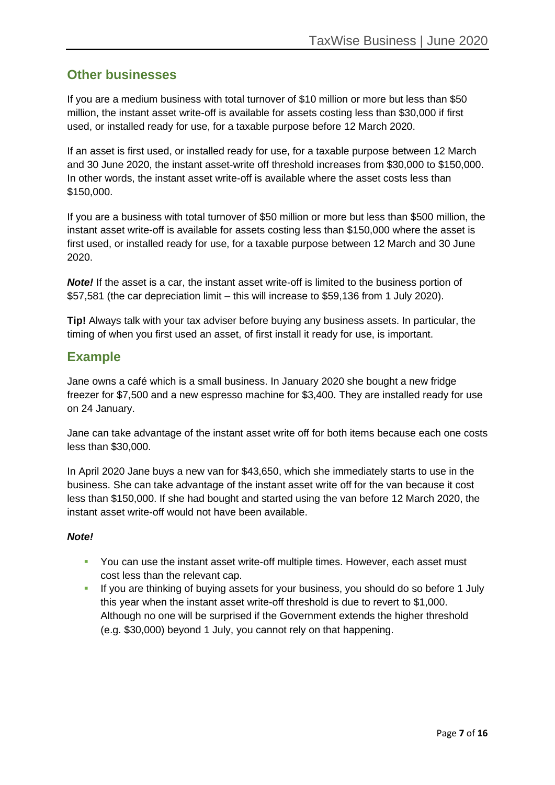#### **Other businesses**

If you are a medium business with total turnover of \$10 million or more but less than \$50 million, the instant asset write-off is available for assets costing less than \$30,000 if first used, or installed ready for use, for a taxable purpose before 12 March 2020.

If an asset is first used, or installed ready for use, for a taxable purpose between 12 March and 30 June 2020, the instant asset-write off threshold increases from \$30,000 to \$150,000. In other words, the instant asset write-off is available where the asset costs less than \$150,000.

If you are a business with total turnover of \$50 million or more but less than \$500 million, the instant asset write-off is available for assets costing less than \$150,000 where the asset is first used, or installed ready for use, for a taxable purpose between 12 March and 30 June 2020.

*Note!* If the asset is a car, the instant asset write-off is limited to the business portion of \$57,581 (the car depreciation limit – this will increase to \$59,136 from 1 July 2020).

**Tip!** Always talk with your tax adviser before buying any business assets. In particular, the timing of when you first used an asset, of first install it ready for use, is important.

#### **Example**

Jane owns a café which is a small business. In January 2020 she bought a new fridge freezer for \$7,500 and a new espresso machine for \$3,400. They are installed ready for use on 24 January.

Jane can take advantage of the instant asset write off for both items because each one costs less than \$30,000.

In April 2020 Jane buys a new van for \$43,650, which she immediately starts to use in the business. She can take advantage of the instant asset write off for the van because it cost less than \$150,000. If she had bought and started using the van before 12 March 2020, the instant asset write-off would not have been available.

#### *Note!*

- **You can use the instant asset write-off multiple times. However, each asset must** cost less than the relevant cap.
- **EXT** If you are thinking of buying assets for your business, you should do so before 1 July this year when the instant asset write-off threshold is due to revert to \$1,000. Although no one will be surprised if the Government extends the higher threshold (e.g. \$30,000) beyond 1 July, you cannot rely on that happening.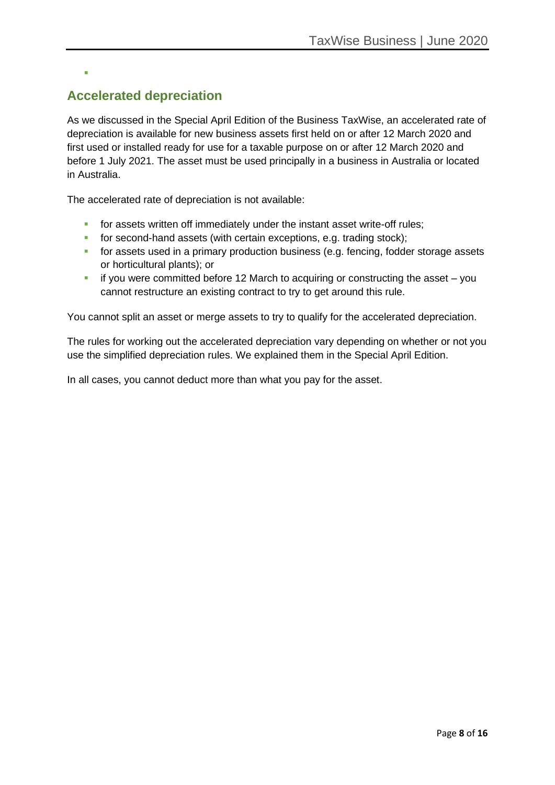## **Accelerated depreciation**

▪

As we discussed in the Special April Edition of the Business TaxWise, an accelerated rate of depreciation is available for new business assets first held on or after 12 March 2020 and first used or installed ready for use for a taxable purpose on or after 12 March 2020 and before 1 July 2021. The asset must be used principally in a business in Australia or located in Australia.

The accelerated rate of depreciation is not available:

- **•** for assets written off immediately under the instant asset write-off rules;
- **•** for second-hand assets (with certain exceptions, e.g. trading stock);
- **•** for assets used in a primary production business (e.g. fencing, fodder storage assets or horticultural plants); or
- $\blacksquare$  if you were committed before 12 March to acquiring or constructing the asset you cannot restructure an existing contract to try to get around this rule.

You cannot split an asset or merge assets to try to qualify for the accelerated depreciation.

The rules for working out the accelerated depreciation vary depending on whether or not you use the simplified depreciation rules. We explained them in the Special April Edition.

In all cases, you cannot deduct more than what you pay for the asset.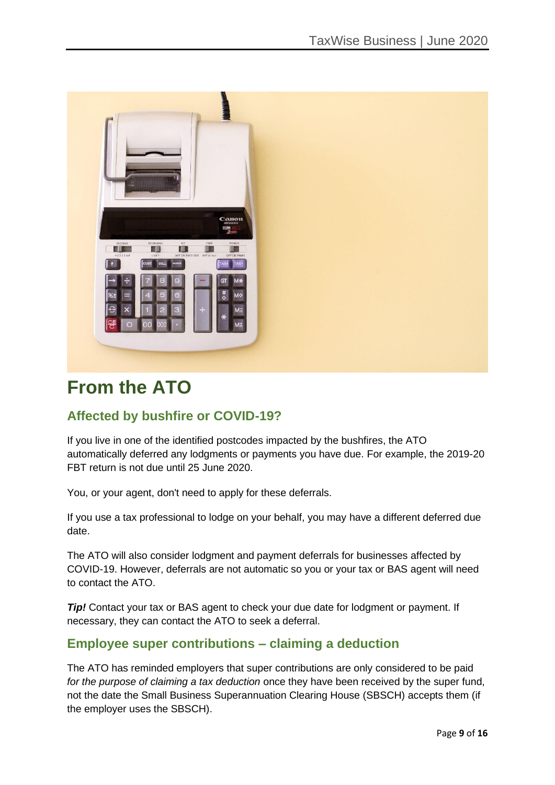

# **From the ATO**

### **Affected by bushfire or COVID-19?**

If you live in one of the identified postcodes impacted by the bushfires, the ATO automatically deferred any lodgments or payments you have due. For example, the 2019-20 FBT return is not due until 25 June 2020.

You, or your agent, don't need to apply for these deferrals.

If you use a tax professional to lodge on your behalf, you may have a different deferred due date.

The ATO will also consider lodgment and payment deferrals for businesses affected by COVID-19. However, deferrals are not automatic so you or your tax or BAS agent will need to contact the ATO.

**Tip!** Contact your tax or BAS agent to check your due date for lodgment or payment. If necessary, they can contact the ATO to seek a deferral.

#### **Employee super contributions – claiming a deduction**

The ATO has reminded employers that super contributions are only considered to be paid *for the purpose of claiming a tax deduction* once they have been received by the super fund, not the date the Small Business Superannuation Clearing House (SBSCH) accepts them (if the employer uses the SBSCH).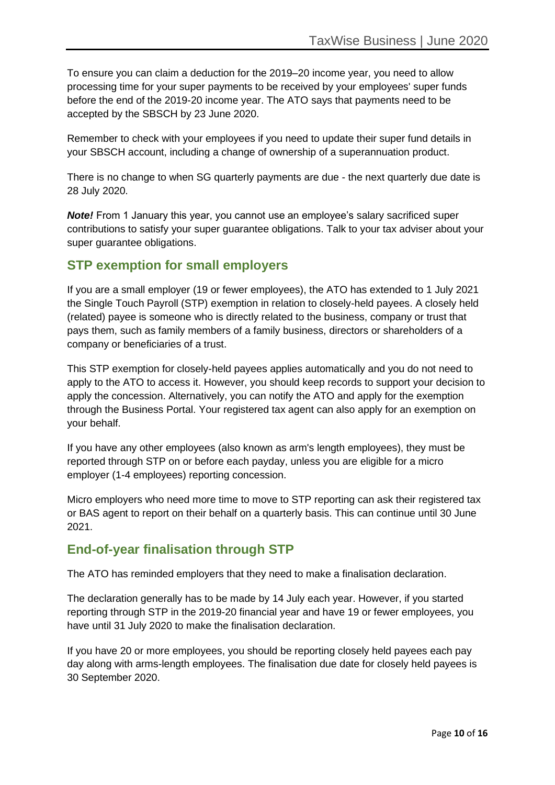To ensure you can claim a deduction for the 2019–20 income year, you need to allow processing time for your super payments to be received by your employees' super funds before the end of the 2019-20 income year. The ATO says that payments need to be accepted by the SBSCH by 23 June 2020.

Remember to check with your employees if you need to update their super fund details in your SBSCH account, including a change of ownership of a superannuation product.

There is no change to when SG quarterly payments are due - the next quarterly due date is 28 July 2020.

*Note!* From 1 January this year, you cannot use an employee's salary sacrificed super contributions to satisfy your super guarantee obligations. Talk to your tax adviser about your super guarantee obligations.

#### **STP exemption for small employers**

If you are a small employer (19 or fewer employees), the ATO has extended to 1 July 2021 the Single Touch Payroll (STP) exemption in relation to closely-held payees. A closely held (related) payee is someone who is directly related to the business, company or trust that pays them, such as family members of a family business, directors or shareholders of a company or beneficiaries of a trust.

This STP exemption for closely-held payees applies automatically and you do not need to apply to the ATO to access it. However, you should keep records to support your decision to apply the concession. Alternatively, you can notify the ATO and apply for the exemption through the Business Portal. Your registered tax agent can also apply for an exemption on your behalf.

If you have any other employees (also known as arm's length employees), they must be reported through STP on or before each payday, unless you are eligible for a micro employer (1-4 employees) reporting concession.

Micro employers who need more time to move to STP reporting can ask their registered tax or BAS agent to report on their behalf on a quarterly basis. This can continue until 30 June 2021.

### **End-of-year finalisation through STP**

The ATO has reminded employers that they need to make a finalisation declaration.

The declaration generally has to be made by 14 July each year. However, if you started reporting through STP in the 2019-20 financial year and have 19 or fewer employees, you have until 31 July 2020 to make the finalisation declaration.

If you have 20 or more employees, you should be reporting closely held payees each pay day along with arms-length employees. The finalisation due date for closely held payees is 30 September 2020.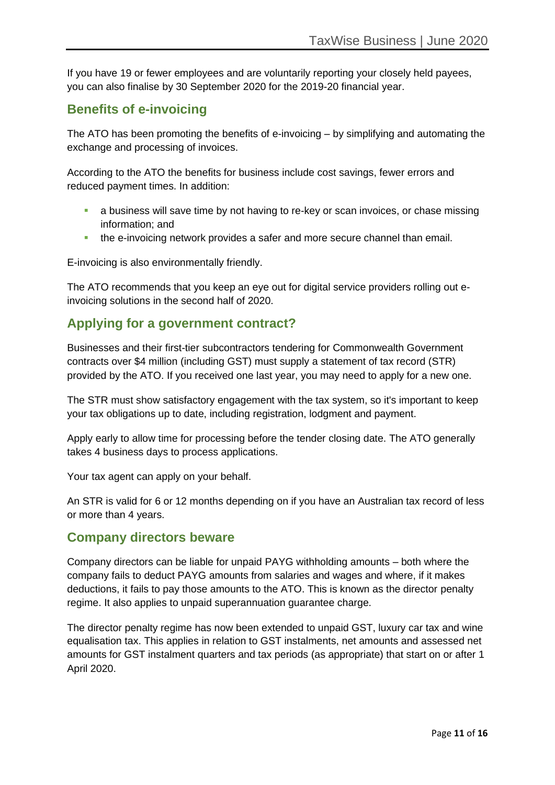If you have 19 or fewer employees and are voluntarily reporting your closely held payees, you can also finalise by 30 September 2020 for the 2019-20 financial year.

### **Benefits of e-invoicing**

The ATO has been promoting the benefits of e-invoicing – by simplifying and automating the exchange and processing of invoices.

According to the ATO the benefits for business include cost savings, fewer errors and reduced payment times. In addition:

- **E** a business will save time by not having to re-key or scan invoices, or chase missing information; and
- **•** the e-invoicing network provides a safer and more secure channel than email.

E-invoicing is also environmentally friendly.

The ATO recommends that you keep an eye out for digital service providers rolling out einvoicing solutions in the second half of 2020.

### **Applying for a government contract?**

Businesses and their first-tier subcontractors tendering for Commonwealth Government contracts over \$4 million (including GST) must supply a statement of tax record (STR) provided by the ATO. If you received one last year, you may need to apply for a new one.

The STR must show satisfactory engagement with the tax system, so it's important to keep your tax obligations up to date, including registration, lodgment and payment.

Apply early to allow time for processing before the tender closing date. The ATO generally takes 4 business days to process applications.

Your tax agent can apply on your behalf.

An STR is valid for 6 or 12 months depending on if you have an Australian tax record of less or more than 4 years.

#### **Company directors beware**

Company directors can be liable for unpaid PAYG withholding amounts – both where the company fails to deduct PAYG amounts from salaries and wages and where, if it makes deductions, it fails to pay those amounts to the ATO. This is known as the director penalty regime. It also applies to unpaid superannuation guarantee charge.

The director penalty regime has now been extended to unpaid GST, luxury car tax and wine equalisation tax. This applies in relation to GST instalments, net amounts and assessed net amounts for GST instalment quarters and tax periods (as appropriate) that start on or after 1 April 2020.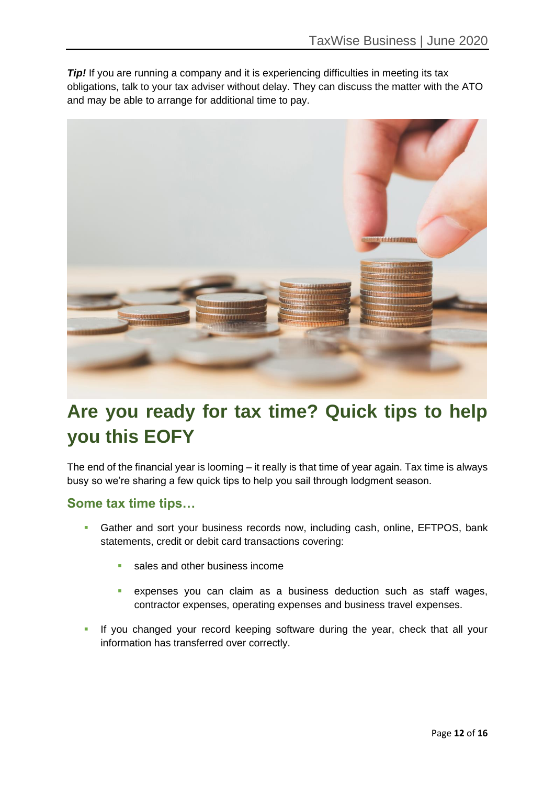*Tip!* If you are running a company and it is experiencing difficulties in meeting its tax obligations, talk to your tax adviser without delay. They can discuss the matter with the ATO and may be able to arrange for additional time to pay.



# **Are you ready for tax time? Quick tips to help you this EOFY**

The end of the financial year is looming – it really is that time of year again. Tax time is always busy so we're sharing a few quick tips to help you sail through lodgment season.

#### **Some tax time tips…**

- **Gather and sort your business records now, including cash, online, EFTPOS, bank** statements, credit or debit card transactions covering:
	- sales and other business income
	- expenses you can claim as a business deduction such as staff wages, contractor expenses, operating expenses and business travel expenses.
- **EXT** If you changed your record keeping software during the year, check that all your information has transferred over correctly.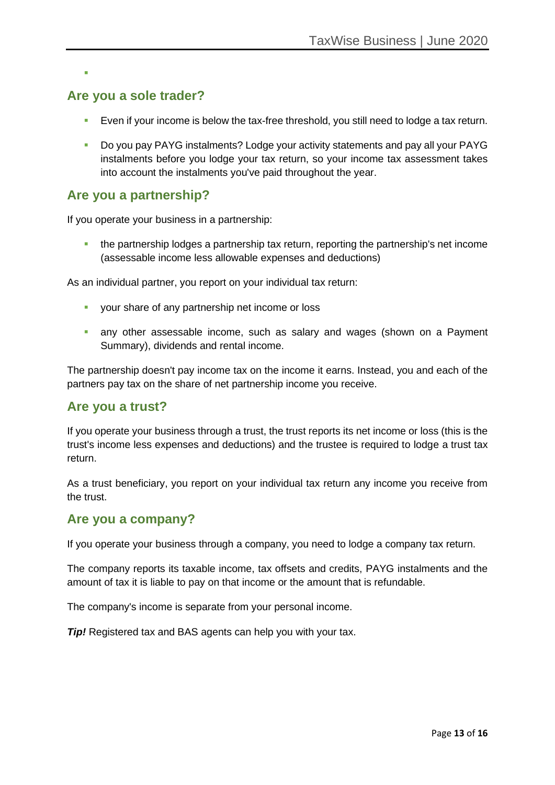▪

### **Are you a sole trader?**

- **E** ven if your income is below the tax-free threshold, you still need to lodge a tax return.
- Do you pay PAYG instalments? Lodge your activity statements and pay all your PAYG instalments before you lodge your tax return, so your income tax assessment takes into account the instalments you've paid throughout the year.

#### **Are you a partnership?**

If you operate your business in a partnership:

**•** the partnership lodges a partnership tax return, reporting the partnership's net income (assessable income less allowable expenses and deductions)

As an individual partner, you report on your individual tax return:

- **•** your share of any partnership net income or loss
- **•** any other assessable income, such as salary and wages (shown on a Payment Summary), dividends and rental income.

The partnership doesn't pay income tax on the income it earns. Instead, you and each of the partners pay tax on the share of net partnership income you receive.

#### **Are you a trust?**

If you operate your business through a trust, the trust reports its net income or loss (this is the trust's income less expenses and deductions) and the trustee is required to lodge a trust tax return.

As a trust beneficiary, you report on your individual tax return any income you receive from the trust.

#### **Are you a company?**

If you operate your business through a company, you need to lodge a company tax return.

The company reports its taxable income, tax offsets and credits, PAYG instalments and the amount of tax it is liable to pay on that income or the amount that is refundable.

The company's income is separate from your personal income.

*Tip!* Registered tax and BAS agents can help you with your tax.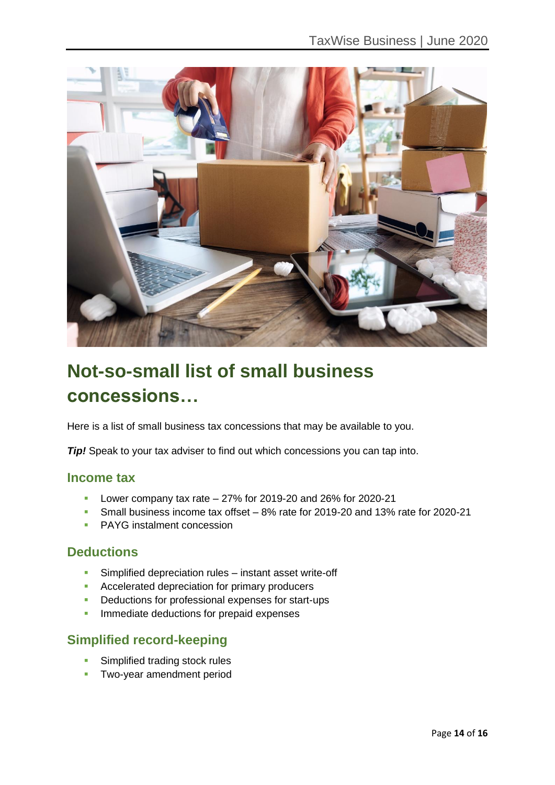

# **Not-so-small list of small business concessions…**

Here is a list of small business tax concessions that may be available to you.

*Tip!* Speak to your tax adviser to find out which concessions you can tap into.

#### **Income tax**

- **•** Lower company tax rate  $-27\%$  for 2019-20 and 26% for 2020-21
- Small business income tax offset 8% rate for 2019-20 and 13% rate for 2020-21
- PAYG instalment concession

#### **Deductions**

- **EXECT** Simplified depreciation rules instant asset write-off
- Accelerated depreciation for primary producers
- Deductions for professional expenses for start-ups
- **·** Immediate deductions for prepaid expenses

#### **Simplified record-keeping**

- **EXECUTE:** Simplified trading stock rules
- **Two-year amendment period**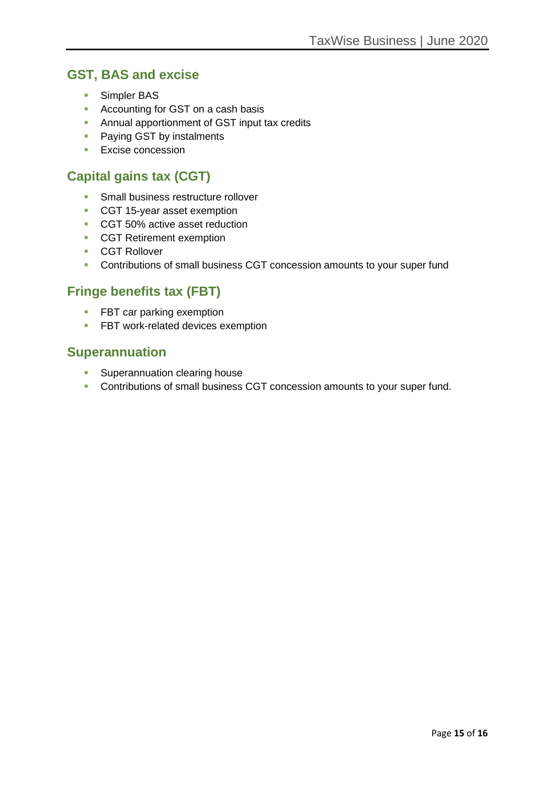### **GST, BAS and excise**

- Simpler BAS
- Accounting for GST on a cash basis
- **EXECT:** Annual apportionment of GST input tax credits
- Paying GST by instalments
- Excise concession

### **Capital gains tax (CGT)**

- **Small business restructure rollover**
- CGT 15-year asset exemption
- CGT 50% active asset reduction
- CGT Retirement exemption
- CGT Rollover
- **Contributions of small business CGT concession amounts to your super fund**

#### **Fringe benefits tax (FBT)**

- **EXECTE FBT car parking exemption**
- **EXECUTE:** FBT work-related devices exemption

#### **Superannuation**

- **EXECUTE:** Superannuation clearing house
- Contributions of small business CGT concession amounts to your super fund.